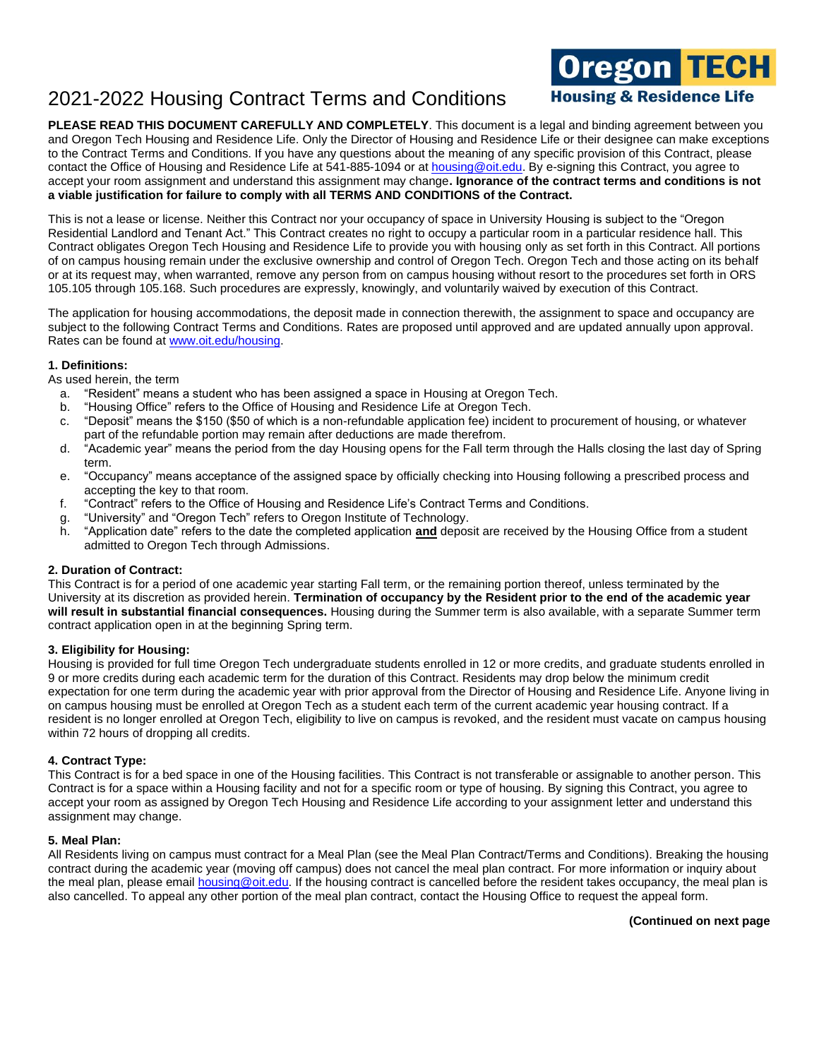**PLEASE READ THIS DOCUMENT CAREFULLY AND COMPLETELY**. This document is a legal and binding agreement between you and Oregon Tech Housing and Residence Life. Only the Director of Housing and Residence Life or their designee can make exceptions to the Contract Terms and Conditions. If you have any questions about the meaning of any specific provision of this Contract, please contact the Office of Housing and Residence Life at 541-885-1094 or at **housing@oit.edu.** By e-signing this Contract, you agree to accept your room assignment and understand this assignment may change**. Ignorance of the contract terms and conditions is not a viable justification for failure to comply with all TERMS AND CONDITIONS of the Contract.**

This is not a lease or license. Neither this Contract nor your occupancy of space in University Housing is subject to the "Oregon Residential Landlord and Tenant Act." This Contract creates no right to occupy a particular room in a particular residence hall. This Contract obligates Oregon Tech Housing and Residence Life to provide you with housing only as set forth in this Contract. All portions of on campus housing remain under the exclusive ownership and control of Oregon Tech. Oregon Tech and those acting on its behalf or at its request may, when warranted, remove any person from on campus housing without resort to the procedures set forth in ORS 105.105 through 105.168. Such procedures are expressly, knowingly, and voluntarily waived by execution of this Contract.

The application for housing accommodations, the deposit made in connection therewith, the assignment to space and occupancy are subject to the following Contract Terms and Conditions. Rates are proposed until approved and are updated annually upon approval. Rates can be found at [www.oit.edu/housing.](http://www.oit.edu/housing)

## **1. Definitions:**

As used herein, the term

- a. "Resident" means a student who has been assigned a space in Housing at Oregon Tech.
- b. "Housing Office" refers to the Office of Housing and Residence Life at Oregon Tech.
- c. "Deposit" means the \$150 (\$50 of which is a non-refundable application fee) incident to procurement of housing, or whatever part of the refundable portion may remain after deductions are made therefrom.
- d. "Academic year" means the period from the day Housing opens for the Fall term through the Halls closing the last day of Spring term.
- e. "Occupancy" means acceptance of the assigned space by officially checking into Housing following a prescribed process and accepting the key to that room.
- f. "Contract" refers to the Office of Housing and Residence Life's Contract Terms and Conditions.
- g. "University" and "Oregon Tech" refers to Oregon Institute of Technology.
- h. "Application date" refers to the date the completed application **and** deposit are received by the Housing Office from a student admitted to Oregon Tech through Admissions.

## **2. Duration of Contract:**

This Contract is for a period of one academic year starting Fall term, or the remaining portion thereof, unless terminated by the University at its discretion as provided herein. **Termination of occupancy by the Resident prior to the end of the academic year will result in substantial financial consequences.** Housing during the Summer term is also available, with a separate Summer term contract application open in at the beginning Spring term.

## **3. Eligibility for Housing:**

Housing is provided for full time Oregon Tech undergraduate students enrolled in 12 or more credits, and graduate students enrolled in 9 or more credits during each academic term for the duration of this Contract. Residents may drop below the minimum credit expectation for one term during the academic year with prior approval from the Director of Housing and Residence Life. Anyone living in on campus housing must be enrolled at Oregon Tech as a student each term of the current academic year housing contract. If a resident is no longer enrolled at Oregon Tech, eligibility to live on campus is revoked, and the resident must vacate on campus housing within 72 hours of dropping all credits.

### **4. Contract Type:**

This Contract is for a bed space in one of the Housing facilities. This Contract is not transferable or assignable to another person. This Contract is for a space within a Housing facility and not for a specific room or type of housing. By signing this Contract, you agree to accept your room as assigned by Oregon Tech Housing and Residence Life according to your assignment letter and understand this assignment may change.

### **5. Meal Plan:**

All Residents living on campus must contract for a Meal Plan (see the Meal Plan Contract/Terms and Conditions). Breaking the housing contract during the academic year (moving off campus) does not cancel the meal plan contract. For more information or inquiry about the meal plan, please email [housing@oit.edu.](mailto:housing@oit.edu) If the housing contract is cancelled before the resident takes occupancy, the meal plan is also cancelled. To appeal any other portion of the meal plan contract, contact the Housing Office to request the appeal form.

### **(Continued on next page**

**Oregon <mark>TECH</mark>**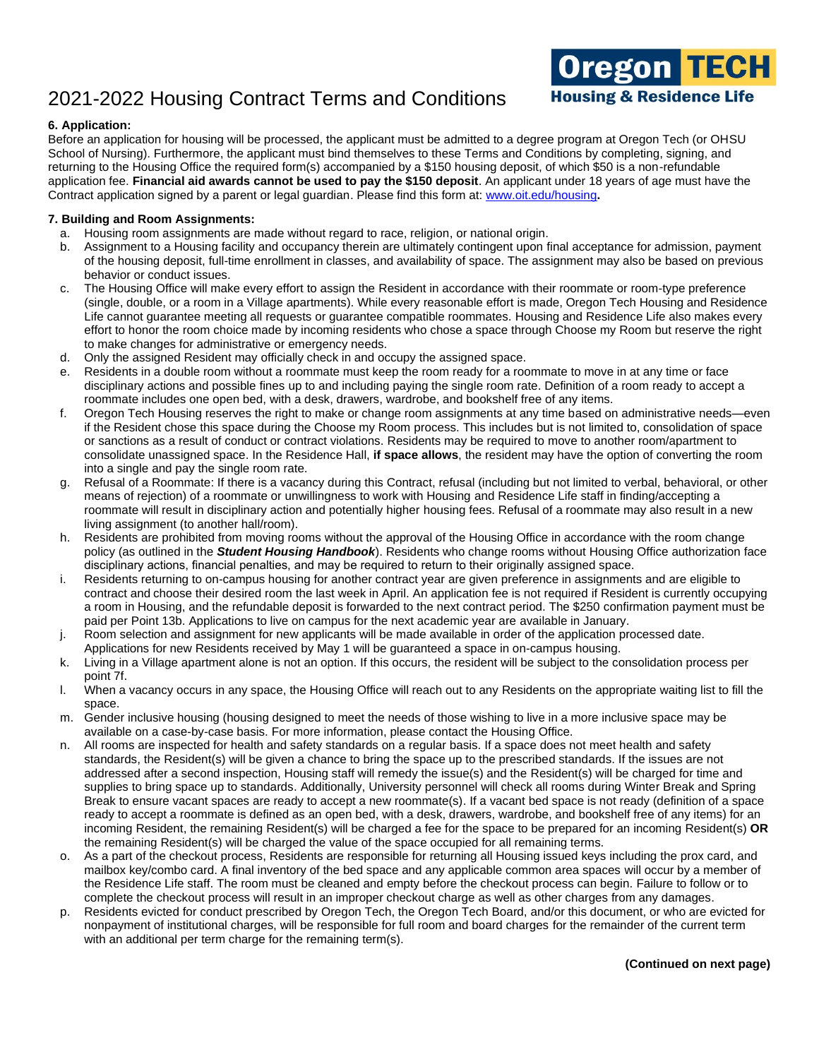

## **6. Application:**

Before an application for housing will be processed, the applicant must be admitted to a degree program at Oregon Tech (or OHSU School of Nursing). Furthermore, the applicant must bind themselves to these Terms and Conditions by completing, signing, and returning to the Housing Office the required form(s) accompanied by a \$150 housing deposit, of which \$50 is a non-refundable application fee. **Financial aid awards cannot be used to pay the \$150 deposit**. An applicant under 18 years of age must have the Contract application signed by a parent or legal guardian. Please find this form at: [www.oit.edu/housing](http://www.oit.edu/housing)**.**

### **7. Building and Room Assignments:**

- a. Housing room assignments are made without regard to race, religion, or national origin.
- b. Assignment to a Housing facility and occupancy therein are ultimately contingent upon final acceptance for admission, payment of the housing deposit, full-time enrollment in classes, and availability of space. The assignment may also be based on previous behavior or conduct issues.
- c. The Housing Office will make every effort to assign the Resident in accordance with their roommate or room-type preference (single, double, or a room in a Village apartments). While every reasonable effort is made, Oregon Tech Housing and Residence Life cannot guarantee meeting all requests or guarantee compatible roommates. Housing and Residence Life also makes every effort to honor the room choice made by incoming residents who chose a space through Choose my Room but reserve the right to make changes for administrative or emergency needs.
- d. Only the assigned Resident may officially check in and occupy the assigned space.
- e. Residents in a double room without a roommate must keep the room ready for a roommate to move in at any time or face disciplinary actions and possible fines up to and including paying the single room rate. Definition of a room ready to accept a roommate includes one open bed, with a desk, drawers, wardrobe, and bookshelf free of any items.
- f. Oregon Tech Housing reserves the right to make or change room assignments at any time based on administrative needs—even if the Resident chose this space during the Choose my Room process. This includes but is not limited to, consolidation of space or sanctions as a result of conduct or contract violations. Residents may be required to move to another room/apartment to consolidate unassigned space. In the Residence Hall, **if space allows**, the resident may have the option of converting the room into a single and pay the single room rate.
- g. Refusal of a Roommate: If there is a vacancy during this Contract, refusal (including but not limited to verbal, behavioral, or other means of rejection) of a roommate or unwillingness to work with Housing and Residence Life staff in finding/accepting a roommate will result in disciplinary action and potentially higher housing fees. Refusal of a roommate may also result in a new living assignment (to another hall/room).
- h. Residents are prohibited from moving rooms without the approval of the Housing Office in accordance with the room change policy (as outlined in the *Student Housing Handbook*). Residents who change rooms without Housing Office authorization face disciplinary actions, financial penalties, and may be required to return to their originally assigned space.
- i. Residents returning to on-campus housing for another contract year are given preference in assignments and are eligible to contract and choose their desired room the last week in April. An application fee is not required if Resident is currently occupying a room in Housing, and the refundable deposit is forwarded to the next contract period. The \$250 confirmation payment must be paid per Point 13b. Applications to live on campus for the next academic year are available in January.
- j. Room selection and assignment for new applicants will be made available in order of the application processed date.
- Applications for new Residents received by May 1 will be guaranteed a space in on-campus housing.
- k. Living in a Village apartment alone is not an option. If this occurs, the resident will be subject to the consolidation process per point 7f.
- l. When a vacancy occurs in any space, the Housing Office will reach out to any Residents on the appropriate waiting list to fill the space.
- m. Gender inclusive housing (housing designed to meet the needs of those wishing to live in a more inclusive space may be available on a case-by-case basis. For more information, please contact the Housing Office.
- n. All rooms are inspected for health and safety standards on a regular basis. If a space does not meet health and safety standards, the Resident(s) will be given a chance to bring the space up to the prescribed standards. If the issues are not addressed after a second inspection, Housing staff will remedy the issue(s) and the Resident(s) will be charged for time and supplies to bring space up to standards. Additionally, University personnel will check all rooms during Winter Break and Spring Break to ensure vacant spaces are ready to accept a new roommate(s). If a vacant bed space is not ready (definition of a space ready to accept a roommate is defined as an open bed, with a desk, drawers, wardrobe, and bookshelf free of any items) for an incoming Resident, the remaining Resident(s) will be charged a fee for the space to be prepared for an incoming Resident(s) **OR** the remaining Resident(s) will be charged the value of the space occupied for all remaining terms.
- o. As a part of the checkout process, Residents are responsible for returning all Housing issued keys including the prox card, and mailbox key/combo card. A final inventory of the bed space and any applicable common area spaces will occur by a member of the Residence Life staff. The room must be cleaned and empty before the checkout process can begin. Failure to follow or to complete the checkout process will result in an improper checkout charge as well as other charges from any damages.
- p. Residents evicted for conduct prescribed by Oregon Tech, the Oregon Tech Board, and/or this document, or who are evicted for nonpayment of institutional charges, will be responsible for full room and board charges for the remainder of the current term with an additional per term charge for the remaining term(s).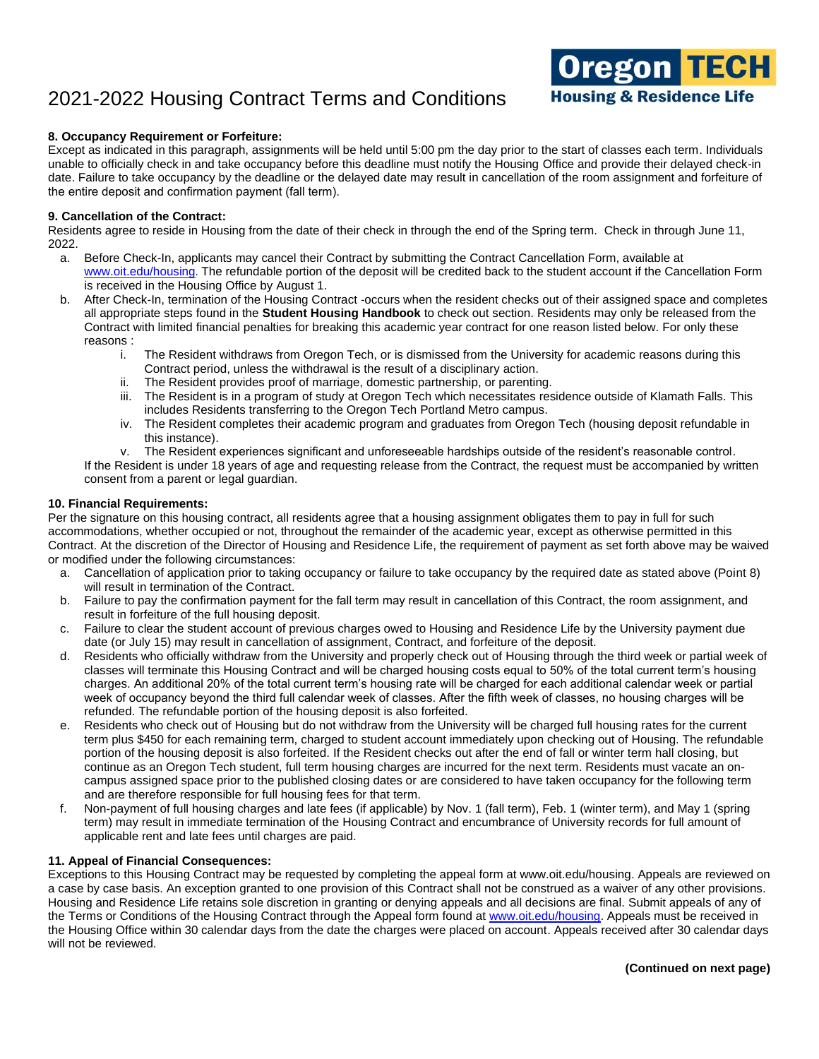### **8. Occupancy Requirement or Forfeiture:**

Except as indicated in this paragraph, assignments will be held until 5:00 pm the day prior to the start of classes each term. Individuals unable to officially check in and take occupancy before this deadline must notify the Housing Office and provide their delayed check-in date. Failure to take occupancy by the deadline or the delayed date may result in cancellation of the room assignment and forfeiture of the entire deposit and confirmation payment (fall term).

#### **9. Cancellation of the Contract:**

Residents agree to reside in Housing from the date of their check in through the end of the Spring term. Check in through June 11, 2022.

- a. Before Check-In, applicants may cancel their Contract by submitting the Contract Cancellation Form, available at www.oit.edu/housing. The refundable portion of the deposit will be credited back to the student account if the Cancellation Form is received in the Housing Office by August 1.
- b. After Check-In, termination of the Housing Contract -occurs when the resident checks out of their assigned space and completes all appropriate steps found in the **Student Housing Handbook** to check out section. Residents may only be released from the Contract with limited financial penalties for breaking this academic year contract for one reason listed below. For only these reasons :
	- i. The Resident withdraws from Oregon Tech, or is dismissed from the University for academic reasons during this Contract period, unless the withdrawal is the result of a disciplinary action.
	- ii. The Resident provides proof of marriage, domestic partnership, or parenting.
	- iii. The Resident is in a program of study at Oregon Tech which necessitates residence outside of Klamath Falls. This includes Residents transferring to the Oregon Tech Portland Metro campus.
	- iv. The Resident completes their academic program and graduates from Oregon Tech (housing deposit refundable in this instance).
	- v. The Resident experiences significant and unforeseeable hardships outside of the resident's reasonable control.

If the Resident is under 18 years of age and requesting release from the Contract, the request must be accompanied by written consent from a parent or legal guardian.

#### **10. Financial Requirements:**

Per the signature on this housing contract, all residents agree that a housing assignment obligates them to pay in full for such accommodations, whether occupied or not, throughout the remainder of the academic year, except as otherwise permitted in this Contract. At the discretion of the Director of Housing and Residence Life, the requirement of payment as set forth above may be waived or modified under the following circumstances:

- a. Cancellation of application prior to taking occupancy or failure to take occupancy by the required date as stated above (Point 8) will result in termination of the Contract.
- b. Failure to pay the confirmation payment for the fall term may result in cancellation of this Contract, the room assignment, and result in forfeiture of the full housing deposit.
- c. Failure to clear the student account of previous charges owed to Housing and Residence Life by the University payment due date (or July 15) may result in cancellation of assignment, Contract, and forfeiture of the deposit.
- d. Residents who officially withdraw from the University and properly check out of Housing through the third week or partial week of classes will terminate this Housing Contract and will be charged housing costs equal to 50% of the total current term's housing charges. An additional 20% of the total current term's housing rate will be charged for each additional calendar week or partial week of occupancy beyond the third full calendar week of classes. After the fifth week of classes, no housing charges will be refunded. The refundable portion of the housing deposit is also forfeited.
- e. Residents who check out of Housing but do not withdraw from the University will be charged full housing rates for the current term plus \$450 for each remaining term, charged to student account immediately upon checking out of Housing. The refundable portion of the housing deposit is also forfeited. If the Resident checks out after the end of fall or winter term hall closing, but continue as an Oregon Tech student, full term housing charges are incurred for the next term. Residents must vacate an oncampus assigned space prior to the published closing dates or are considered to have taken occupancy for the following term and are therefore responsible for full housing fees for that term.
- f. Non-payment of full housing charges and late fees (if applicable) by Nov. 1 (fall term), Feb. 1 (winter term), and May 1 (spring term) may result in immediate termination of the Housing Contract and encumbrance of University records for full amount of applicable rent and late fees until charges are paid.

### **11. Appeal of Financial Consequences:**

Exceptions to this Housing Contract may be requested by completing the appeal form at www.oit.edu/housing. Appeals are reviewed on a case by case basis. An exception granted to one provision of this Contract shall not be construed as a waiver of any other provisions. Housing and Residence Life retains sole discretion in granting or denying appeals and all decisions are final. Submit appeals of any of the Terms or Conditions of the Housing Contract through the Appeal form found a[t www.oit.edu/housing.](https://oregontech-my.sharepoint.com/personal/mandi_clark_oit_edu/Documents/Housing%20contract%20info/2021-2022/www.oit.edu/housing) Appeals must be received in the Housing Office within 30 calendar days from the date the charges were placed on account. Appeals received after 30 calendar days will not be reviewed.

Oregon <mark>TECH</mark>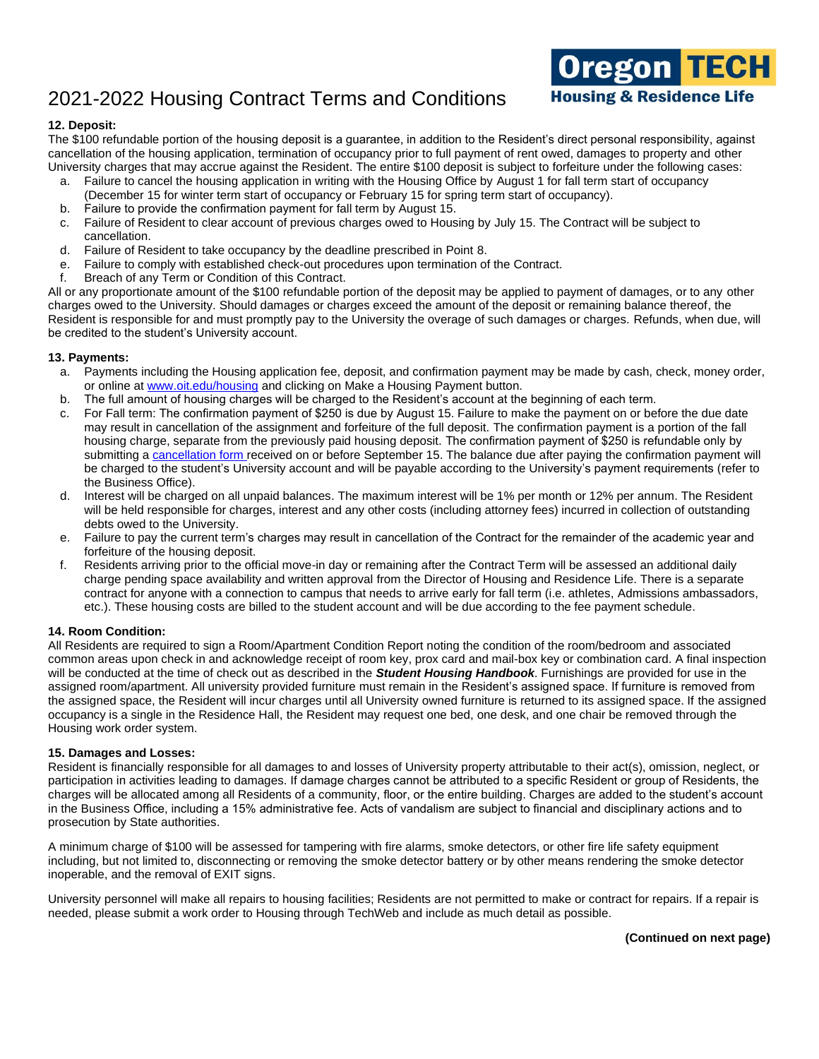

The \$100 refundable portion of the housing deposit is a guarantee, in addition to the Resident's direct personal responsibility, against cancellation of the housing application, termination of occupancy prior to full payment of rent owed, damages to property and other University charges that may accrue against the Resident. The entire \$100 deposit is subject to forfeiture under the following cases:

- a. Failure to cancel the housing application in writing with the Housing Office by August 1 for fall term start of occupancy (December 15 for winter term start of occupancy or February 15 for spring term start of occupancy).
- b. Failure to provide the confirmation payment for fall term by August 15.
- c. Failure of Resident to clear account of previous charges owed to Housing by July 15. The Contract will be subject to cancellation.
- d. Failure of Resident to take occupancy by the deadline prescribed in Point 8.
- e. Failure to comply with established check-out procedures upon termination of the Contract.
- f. Breach of any Term or Condition of this Contract.

All or any proportionate amount of the \$100 refundable portion of the deposit may be applied to payment of damages, or to any other charges owed to the University. Should damages or charges exceed the amount of the deposit or remaining balance thereof, the Resident is responsible for and must promptly pay to the University the overage of such damages or charges. Refunds, when due, will be credited to the student's University account.

#### **13. Payments:**

- a. Payments including the Housing application fee, deposit, and confirmation payment may be made by cash, check, money order, or online at [www.oit.edu/housing](http://www.oit.edu/housing) and clicking on Make a Housing Payment button.
- b. The full amount of housing charges will be charged to the Resident's account at the beginning of each term.
- c. For Fall term: The confirmation payment of \$250 is due by August 15. Failure to make the payment on or before the due date may result in cancellation of the assignment and forfeiture of the full deposit. The confirmation payment is a portion of the fall housing charge, separate from the previously paid housing deposit. The confirmation payment of \$250 is refundable only by submitting a [cancellation form r](https://app.signnow.com/webapp/document/f721c0e2a8ff45c097b62e68d921b7aa3fde8452?dispatched=true&mobileweb=mobileweb_only&redirect_uri=https%253A%252F%252Fapp.signnow.com%252Fhtml%252Fthanks-for-signing%253Fdocument_id%253Df721c0e2a8ff45c097b62e68d921b7aa3fde8452%2526access_token%253D2b18714c309d131872638f769e7c2d42142ecfe35f55e788aca4e29f99bcf825&sign=1)eceived on or before September 15. The balance due after paying the confirmation payment will be charged to the student's University account and will be payable according to the University's payment requirements (refer to the Business Office).
- d. Interest will be charged on all unpaid balances. The maximum interest will be 1% per month or 12% per annum. The Resident will be held responsible for charges, interest and any other costs (including attorney fees) incurred in collection of outstanding debts owed to the University.
- e. Failure to pay the current term's charges may result in cancellation of the Contract for the remainder of the academic year and forfeiture of the housing deposit.
- f. Residents arriving prior to the official move-in day or remaining after the Contract Term will be assessed an additional daily charge pending space availability and written approval from the Director of Housing and Residence Life. There is a separate contract for anyone with a connection to campus that needs to arrive early for fall term (i.e. athletes, Admissions ambassadors, etc.). These housing costs are billed to the student account and will be due according to the fee payment schedule.

### **14. Room Condition:**

All Residents are required to sign a Room/Apartment Condition Report noting the condition of the room/bedroom and associated common areas upon check in and acknowledge receipt of room key, prox card and mail-box key or combination card. A final inspection will be conducted at the time of check out as described in the *Student Housing Handbook*. Furnishings are provided for use in the assigned room/apartment. All university provided furniture must remain in the Resident's assigned space. If furniture is removed from the assigned space, the Resident will incur charges until all University owned furniture is returned to its assigned space. If the assigned occupancy is a single in the Residence Hall, the Resident may request one bed, one desk, and one chair be removed through the Housing work order system.

#### **15. Damages and Losses:**

Resident is financially responsible for all damages to and losses of University property attributable to their act(s), omission, neglect, or participation in activities leading to damages. If damage charges cannot be attributed to a specific Resident or group of Residents, the charges will be allocated among all Residents of a community, floor, or the entire building. Charges are added to the student's account in the Business Office, including a 15% administrative fee. Acts of vandalism are subject to financial and disciplinary actions and to prosecution by State authorities.

A minimum charge of \$100 will be assessed for tampering with fire alarms, smoke detectors, or other fire life safety equipment including, but not limited to, disconnecting or removing the smoke detector battery or by other means rendering the smoke detector inoperable, and the removal of EXIT signs.

University personnel will make all repairs to housing facilities; Residents are not permitted to make or contract for repairs. If a repair is needed, please submit a work order to Housing through TechWeb and include as much detail as possible.

**Oregon TECH**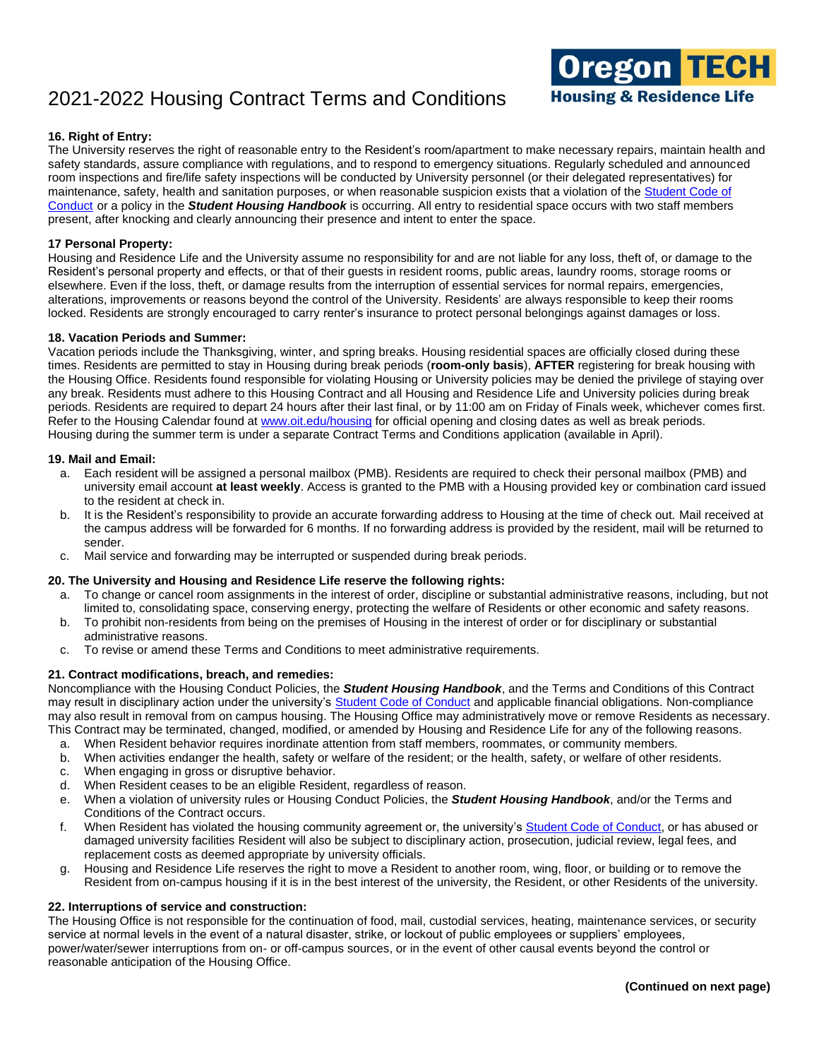

## **16. Right of Entry:**

The University reserves the right of reasonable entry to the Resident's room/apartment to make necessary repairs, maintain health and safety standards, assure compliance with regulations, and to respond to emergency situations. Regularly scheduled and announced room inspections and fire/life safety inspections will be conducted by University personnel (or their delegated representatives) for maintenance, safety, health and sanitation purposes, or when reasonable suspicion exists that a violation of the [Student Code of](http://www.oit.edu/docs/default-source/Student-Affairs-/student-handbook/student-conduct-code.pdf)  [Conduct](http://www.oit.edu/docs/default-source/Student-Affairs-/student-handbook/student-conduct-code.pdf) or a policy in the *Student Housing Handbook* is occurring. All entry to residential space occurs with two staff members present, after knocking and clearly announcing their presence and intent to enter the space.

### **17 Personal Property:**

Housing and Residence Life and the University assume no responsibility for and are not liable for any loss, theft of, or damage to the Resident's personal property and effects, or that of their guests in resident rooms, public areas, laundry rooms, storage rooms or elsewhere. Even if the loss, theft, or damage results from the interruption of essential services for normal repairs, emergencies, alterations, improvements or reasons beyond the control of the University. Residents' are always responsible to keep their rooms locked. Residents are strongly encouraged to carry renter's insurance to protect personal belongings against damages or loss.

#### **18. Vacation Periods and Summer:**

Vacation periods include the Thanksgiving, winter, and spring breaks. Housing residential spaces are officially closed during these times. Residents are permitted to stay in Housing during break periods (**room-only basis**), **AFTER** registering for break housing with the Housing Office. Residents found responsible for violating Housing or University policies may be denied the privilege of staying over any break. Residents must adhere to this Housing Contract and all Housing and Residence Life and University policies during break periods. Residents are required to depart 24 hours after their last final, or by 11:00 am on Friday of Finals week, whichever comes first. Refer to the Housing Calendar found at [www.oit.edu/housing](http://www.oit.edu/housing) for official opening and closing dates as well as break periods. Housing during the summer term is under a separate Contract Terms and Conditions application (available in April).

#### **19. Mail and Email:**

- a. Each resident will be assigned a personal mailbox (PMB). Residents are required to check their personal mailbox (PMB) and university email account **at least weekly**. Access is granted to the PMB with a Housing provided key or combination card issued to the resident at check in.
- b. It is the Resident's responsibility to provide an accurate forwarding address to Housing at the time of check out. Mail received at the campus address will be forwarded for 6 months. If no forwarding address is provided by the resident, mail will be returned to sender.
- c. Mail service and forwarding may be interrupted or suspended during break periods.

#### **20. The University and Housing and Residence Life reserve the following rights:**

- a. To change or cancel room assignments in the interest of order, discipline or substantial administrative reasons, including, but not limited to, consolidating space, conserving energy, protecting the welfare of Residents or other economic and safety reasons.
- b. To prohibit non-residents from being on the premises of Housing in the interest of order or for disciplinary or substantial administrative reasons.
- c. To revise or amend these Terms and Conditions to meet administrative requirements.

#### **21. Contract modifications, breach, and remedies:**

Noncompliance with the Housing Conduct Policies, the *Student Housing Handbook*, and the Terms and Conditions of this Contract may result in disciplinary action under the university's [Student Code of Conduct](http://www.oit.edu/docs/default-source/Student-Affairs-/student-handbook/student-conduct-code.pdf) and applicable financial obligations. Non-compliance may also result in removal from on campus housing. The Housing Office may administratively move or remove Residents as necessary. This Contract may be terminated, changed, modified, or amended by Housing and Residence Life for any of the following reasons.

- a. When Resident behavior requires inordinate attention from staff members, roommates, or community members.
- b. When activities endanger the health, safety or welfare of the resident; or the health, safety, or welfare of other residents.
- c. When engaging in gross or disruptive behavior.
- d. When Resident ceases to be an eligible Resident, regardless of reason.
- e. When a violation of university rules or Housing Conduct Policies, the *Student Housing Handbook*, and/or the Terms and Conditions of the Contract occurs.
- f. When Resident has violated the housing community agreement or, the university's [Student Code of Conduct,](http://www.oit.edu/docs/default-source/Student-Affairs-/student-handbook/student-conduct-code.pdf) or has abused or damaged university facilities Resident will also be subject to disciplinary action, prosecution, judicial review, legal fees, and replacement costs as deemed appropriate by university officials.
- g. Housing and Residence Life reserves the right to move a Resident to another room, wing, floor, or building or to remove the Resident from on-campus housing if it is in the best interest of the university, the Resident, or other Residents of the university.

#### **22. Interruptions of service and construction:**

The Housing Office is not responsible for the continuation of food, mail, custodial services, heating, maintenance services, or security service at normal levels in the event of a natural disaster, strike, or lockout of public employees or suppliers' employees, power/water/sewer interruptions from on- or off-campus sources, or in the event of other causal events beyond the control or reasonable anticipation of the Housing Office.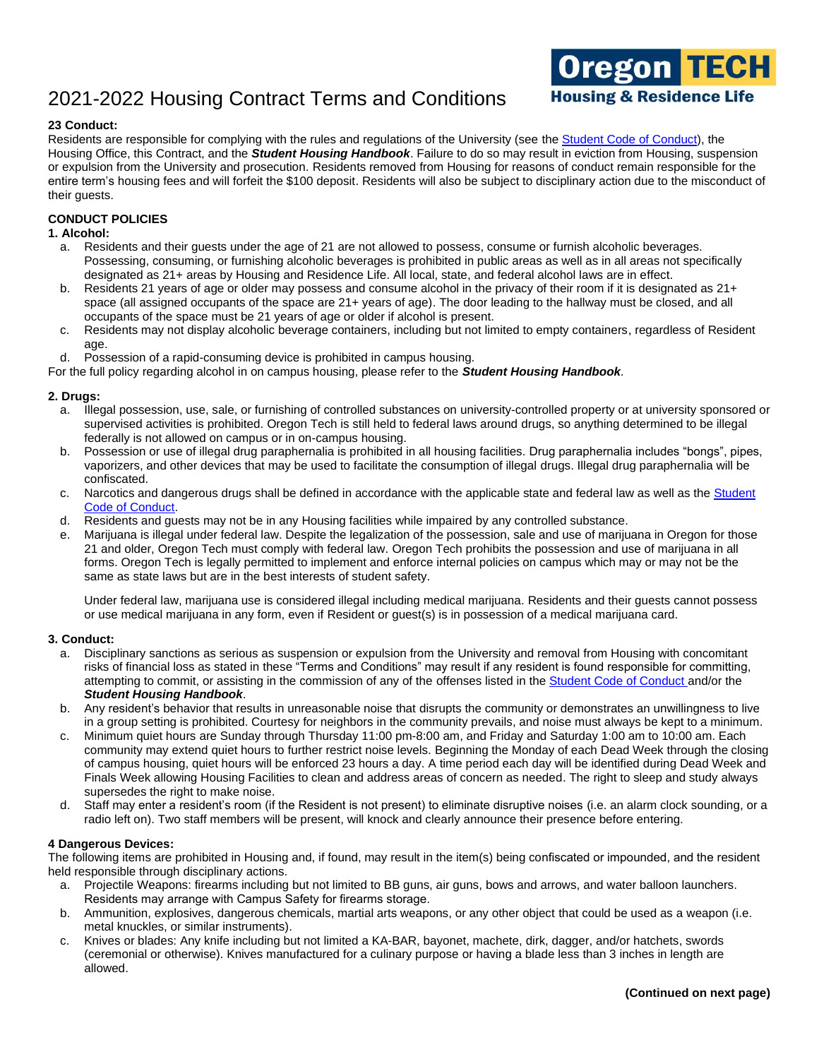

## **23 Conduct:**

Residents are responsible for complying with the rules and regulations of the University (see the [Student Code of Conduct\)](http://www.oit.edu/docs/default-source/Student-Affairs-/student-handbook/student-conduct-code.pdf), the Housing Office, this Contract, and the *Student Housing Handbook*. Failure to do so may result in eviction from Housing, suspension or expulsion from the University and prosecution. Residents removed from Housing for reasons of conduct remain responsible for the entire term's housing fees and will forfeit the \$100 deposit. Residents will also be subject to disciplinary action due to the misconduct of their guests.

## **CONDUCT POLICIES**

#### **1. Alcohol:**

- a. Residents and their guests under the age of 21 are not allowed to possess, consume or furnish alcoholic beverages. Possessing, consuming, or furnishing alcoholic beverages is prohibited in public areas as well as in all areas not specifically designated as 21+ areas by Housing and Residence Life. All local, state, and federal alcohol laws are in effect.
- b. Residents 21 years of age or older may possess and consume alcohol in the privacy of their room if it is designated as 21+ space (all assigned occupants of the space are 21+ years of age). The door leading to the hallway must be closed, and all occupants of the space must be 21 years of age or older if alcohol is present.
- c. Residents may not display alcoholic beverage containers, including but not limited to empty containers, regardless of Resident age.
- d. Possession of a rapid-consuming device is prohibited in campus housing.

For the full policy regarding alcohol in on campus housing, please refer to the *Student Housing Handbook.*

# **2. Drugs:**

- Illegal possession, use, sale, or furnishing of controlled substances on university-controlled property or at university sponsored or supervised activities is prohibited. Oregon Tech is still held to federal laws around drugs, so anything determined to be illegal federally is not allowed on campus or in on-campus housing.
- b. Possession or use of illegal drug paraphernalia is prohibited in all housing facilities. Drug paraphernalia includes "bongs", pipes, vaporizers, and other devices that may be used to facilitate the consumption of illegal drugs. Illegal drug paraphernalia will be confiscated.
- c. Narcotics and dangerous drugs shall be defined in accordance with the applicable state and federal law as well as the Student [Code of Conduct.](http://www.oit.edu/docs/default-source/Student-Affairs-/student-handbook/student-conduct-code.pdf)
- d. Residents and guests may not be in any Housing facilities while impaired by any controlled substance.
- e. Marijuana is illegal under federal law. Despite the legalization of the possession, sale and use of marijuana in Oregon for those 21 and older, Oregon Tech must comply with federal law. Oregon Tech prohibits the possession and use of marijuana in all forms. Oregon Tech is legally permitted to implement and enforce internal policies on campus which may or may not be the same as state laws but are in the best interests of student safety.

Under federal law, marijuana use is considered illegal including medical marijuana. Residents and their guests cannot possess or use medical marijuana in any form, even if Resident or guest(s) is in possession of a medical marijuana card.

#### **3. Conduct:**

- a. Disciplinary sanctions as serious as suspension or expulsion from the University and removal from Housing with concomitant risks of financial loss as stated in these "Terms and Conditions" may result if any resident is found responsible for committing, attempting to commit, or assisting in the commission of any of the offenses listed in th[e Student Code of Conduct](http://www.oit.edu/docs/default-source/Student-Affairs-/student-handbook/student-conduct-code.pdf) and/or the *Student Housing Handbook*.
- b. Any resident's behavior that results in unreasonable noise that disrupts the community or demonstrates an unwillingness to live in a group setting is prohibited. Courtesy for neighbors in the community prevails, and noise must always be kept to a minimum.
- c. Minimum quiet hours are Sunday through Thursday 11:00 pm-8:00 am, and Friday and Saturday 1:00 am to 10:00 am. Each community may extend quiet hours to further restrict noise levels. Beginning the Monday of each Dead Week through the closing of campus housing, quiet hours will be enforced 23 hours a day. A time period each day will be identified during Dead Week and Finals Week allowing Housing Facilities to clean and address areas of concern as needed. The right to sleep and study always supersedes the right to make noise.
- d. Staff may enter a resident's room (if the Resident is not present) to eliminate disruptive noises (i.e. an alarm clock sounding, or a radio left on). Two staff members will be present, will knock and clearly announce their presence before entering.

#### **4 Dangerous Devices:**

The following items are prohibited in Housing and, if found, may result in the item(s) being confiscated or impounded, and the resident held responsible through disciplinary actions.

- a. Projectile Weapons: firearms including but not limited to BB guns, air guns, bows and arrows, and water balloon launchers. Residents may arrange with Campus Safety for firearms storage.
- b. Ammunition, explosives, dangerous chemicals, martial arts weapons, or any other object that could be used as a weapon (i.e. metal knuckles, or similar instruments).
- c. Knives or blades: Any knife including but not limited a KA-BAR, bayonet, machete, dirk, dagger, and/or hatchets, swords (ceremonial or otherwise). Knives manufactured for a culinary purpose or having a blade less than 3 inches in length are allowed.